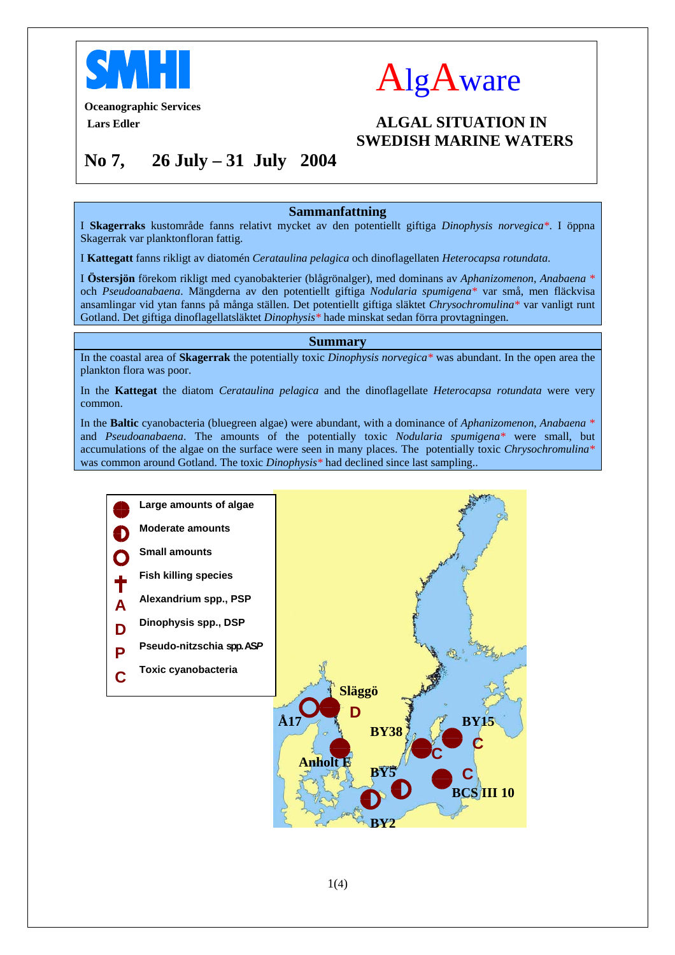



# **Oceanographic Services**

## *ALGAL SITUATION IN*  **SWEDISH MARINE WATERS**

## **No 7, 26 July – 31 July 2004**

## **Sammanfattning**

I **Skagerraks** kustområde fanns relativt mycket av den potentiellt giftiga *Dinophysis norvegica\**. I öppna Skagerrak var planktonfloran fattig.

I **Kattegatt** fanns rikligt av diatomén *Cerataulina pelagica* och dinoflagellaten *Heterocapsa rotundata*.

I **Östersjön** förekom rikligt med cyanobakterier (blågrönalger), med dominans av *Aphanizomenon*, *Anabaena \**  och *Pseudoanabaena*. Mängderna av den potentiellt giftiga *Nodularia spumigena\** var små, men fläckvisa ansamlingar vid ytan fanns på många ställen. Det potentiellt giftiga släktet *Chrysochromulina\** var vanligt runt Gotland. Det giftiga dinoflagellatsläktet *Dinophysis\** hade minskat sedan förra provtagningen.

## **Summary**

In the coastal area of **Skagerrak** the potentially toxic *Dinophysis norvegica\** was abundant. In the open area the plankton flora was poor.

In the **Kattegat** the diatom *Cerataulina pelagica* and the dinoflagellate *Heterocapsa rotundata* were very common.

In the **Baltic** cyanobacteria (bluegreen algae) were abundant, with a dominance of *Aphanizomenon*, *Anabaena \**  and *Pseudoanabaena*. The amounts of the potentially toxic *Nodularia spumigena\** were small, but accumulations of the algae on the surface were seen in many places. The potentially toxic *Chrysochromulina\** was common around Gotland. The toxic *Dinophysis\** had declined since last sampling..

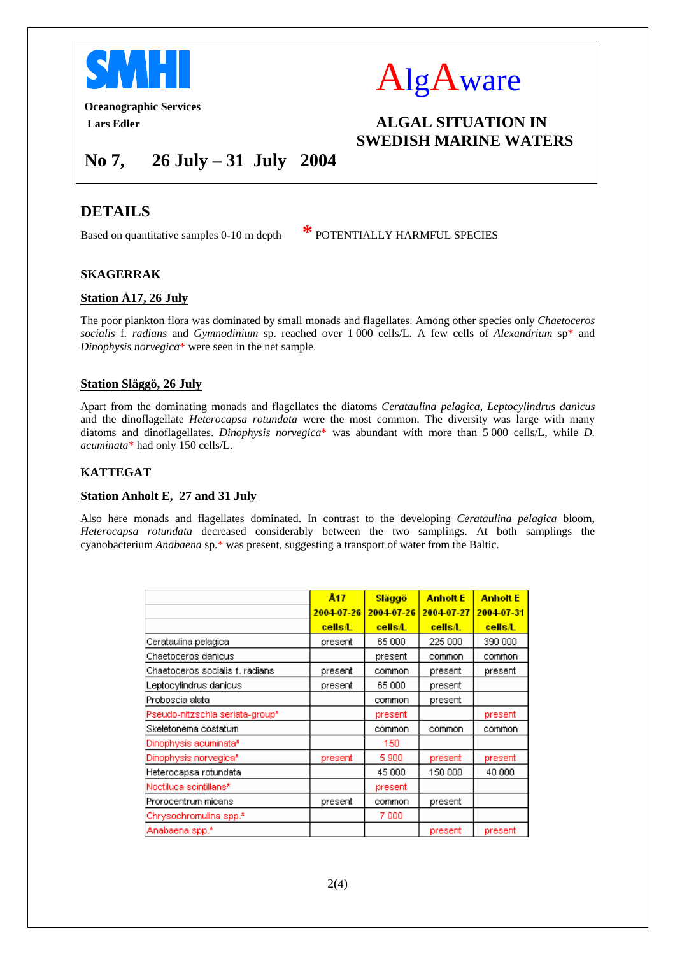



**Oceanographic Services** 

*ALGAL SITUATION IN*  **SWEDISH MARINE WATERS** 

**No 7, 26 July – 31 July 2004** 

## **DETAILS**

Based on quantitative samples 0-10 m depth **\*** POTENTIALLY HARMFUL SPECIES

## **SKAGERRAK**

## **Station Å17, 26 July**

The poor plankton flora was dominated by small monads and flagellates. Among other species only *Chaetoceros socialis* f*. radians* and *Gymnodinium* sp. reached over 1 000 cells/L. A few cells of *Alexandrium* sp\* and *Dinophysis norvegica*\* were seen in the net sample.

## **Station Släggö, 26 July**

Apart from the dominating monads and flagellates the diatoms *Cerataulina pelagica, Leptocylindrus danicus* and the dinoflagellate *Heterocapsa rotundata* were the most common. The diversity was large with many diatoms and dinoflagellates. *Dinophysis norvegica*\* was abundant with more than 5 000 cells/L, while *D. acuminata*\* had only 150 cells/L.

## **KATTEGAT**

## **Station Anholt E, 27 and 31 July**

Also here monads and flagellates dominated. In contrast to the developing *Cerataulina pelagica* bloom, *Heterocapsa rotundata* decreased considerably between the two samplings. At both samplings the cyanobacterium *Anabaena* sp.\* was present, suggesting a transport of water from the Baltic.

|                                 | Å <sub>17</sub> | Släggö     | <b>Anholt E</b> | <b>Anholt E</b> |
|---------------------------------|-----------------|------------|-----------------|-----------------|
|                                 | 2004-07-26      | 2004-07-26 | 2004-07-27      | 2004-07-31      |
|                                 | <b>cells/L</b>  | cells/L    | <b>cells/L</b>  | cells/L         |
| Cerataulina pelagica            | present         | 65 000     | 225 000         | 390 000         |
| Chaetoceros danicus             |                 | present    | common          | common          |
| Chaetoceros socialis f, radians | present         | common     | present         | present         |
| Leptocylindrus danicus          | present         | 65 000     | present         |                 |
| Proboscia alata                 |                 | common     | present         |                 |
| Pseudo-nitzschia seriata-group* |                 | present    |                 | present         |
| Skeletonema costatum            |                 | common     | common          | common          |
| Dinophysis acuminata*           |                 | 150        |                 |                 |
| Dinophysis norvegica*           | present         | 5900       | present         | present         |
| Heterocapsa rotundata           |                 | 45 000     | 150 000         | 40 000          |
| Noctiluca scintillans*          |                 | present    |                 |                 |
| Prorocentrum micans             | present         | common     | present         |                 |
| Chrysochromulina spp.*          |                 | 7 000      |                 |                 |
| Anabaena spp.*                  |                 |            | present         | present         |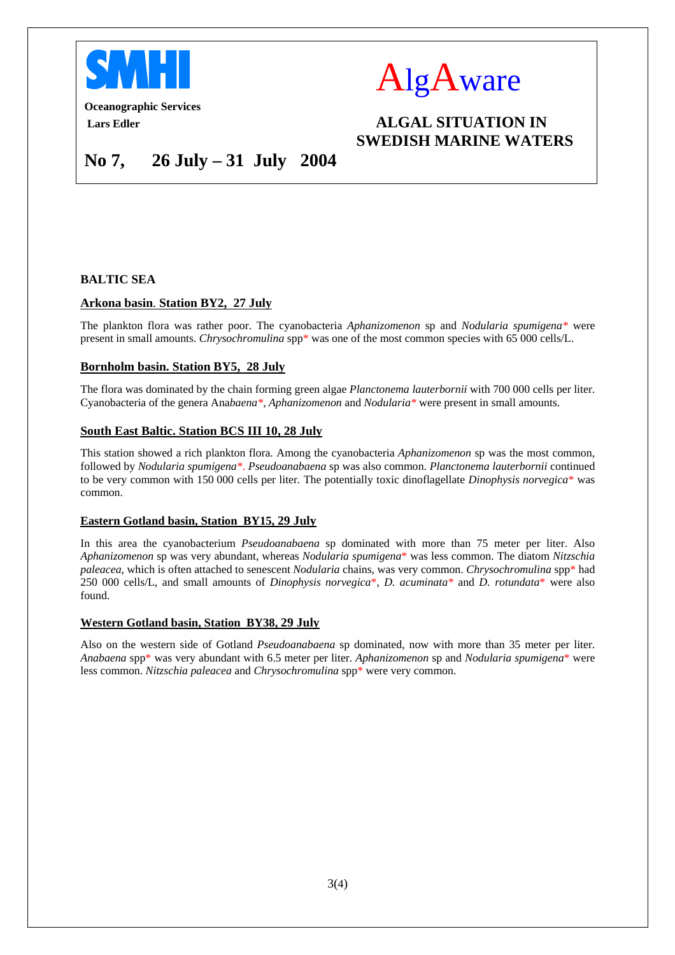



**Oceanographic Services** 

## *ALGAL SITUATION IN*  **SWEDISH MARINE WATERS**

## **No 7, 26 July – 31 July 2004**

### **BALTIC SEA**

### **Arkona basin**. **Station BY2, 27 July**

The plankton flora was rather poor. The cyanobacteria *Aphanizomenon* sp and *Nodularia spumigena\** were present in small amounts. *Chrysochromulina* spp\* was one of the most common species with 65 000 cells/L.

### **Bornholm basin. Station BY5, 28 July**

The flora was dominated by the chain forming green algae *Planctonema lauterbornii* with 700 000 cells per liter. Cyanobacteria of the genera Ana*baena\*, Aphanizomenon* and *Nodularia\** were present in small amounts.

#### **South East Baltic. Station BCS III 10, 28 July**

This station showed a rich plankton flora. Among the cyanobacteria *Aphanizomenon* sp was the most common, followed by *Nodularia spumigena\**. *Pseudoanabaena* sp was also common. *Planctonema lauterbornii* continued to be very common with 150 000 cells per liter. The potentially toxic dinoflagellate *Dinophysis norvegica*\* was common.

#### **Eastern Gotland basin, Station BY15, 29 July**

In this area the cyanobacterium *Pseudoanabaena* sp dominated with more than 75 meter per liter. Also *Aphanizomenon* sp was very abundant, whereas *Nodularia spumigena*\* was less common. The diatom *Nitzschia paleacea*, which is often attached to senescent *Nodularia* chains, was very common. *Chrysochromulina* spp\* had 250 000 cells/L, and small amounts of *Dinophysis norvegica*\*, *D. acuminata\** and *D. rotundata*\* were also found.

#### **Western Gotland basin, Station BY38, 29 July**

Also on the western side of Gotland *Pseudoanabaena* sp dominated, now with more than 35 meter per liter. *Anabaena* spp\* was very abundant with 6.5 meter per liter. *Aphanizomenon* sp and *Nodularia spumigena*\* were less common. *Nitzschia paleacea* and *Chrysochromulina* spp\* were very common.